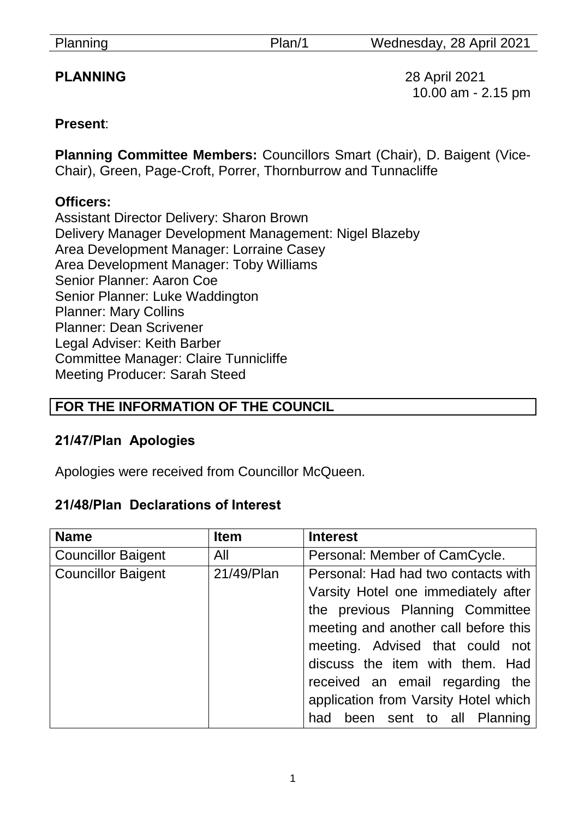**PLANNING** 28 April 2021 10.00 am - 2.15 pm

#### **Present**:

**Planning Committee Members:** Councillors Smart (Chair), D. Baigent (Vice-Chair), Green, Page-Croft, Porrer, Thornburrow and Tunnacliffe

#### **Officers:**

Assistant Director Delivery: Sharon Brown Delivery Manager Development Management: Nigel Blazeby Area Development Manager: Lorraine Casey Area Development Manager: Toby Williams Senior Planner: Aaron Coe Senior Planner: Luke Waddington Planner: Mary Collins Planner: Dean Scrivener Legal Adviser: Keith Barber Committee Manager: Claire Tunnicliffe Meeting Producer: Sarah Steed

## **FOR THE INFORMATION OF THE COUNCIL**

## **21/47/Plan Apologies**

Apologies were received from Councillor McQueen.

## **21/48/Plan Declarations of Interest**

| <b>Name</b>               | <b>Item</b> | <b>Interest</b>                      |
|---------------------------|-------------|--------------------------------------|
| <b>Councillor Baigent</b> | All         | Personal: Member of CamCycle.        |
| <b>Councillor Baigent</b> | 21/49/Plan  | Personal: Had had two contacts with  |
|                           |             | Varsity Hotel one immediately after  |
|                           |             | the previous Planning Committee      |
|                           |             | meeting and another call before this |
|                           |             | meeting. Advised that could not      |
|                           |             | discuss the item with them. Had      |
|                           |             | received an email regarding the      |
|                           |             | application from Varsity Hotel which |
|                           |             | had been sent to all Planning        |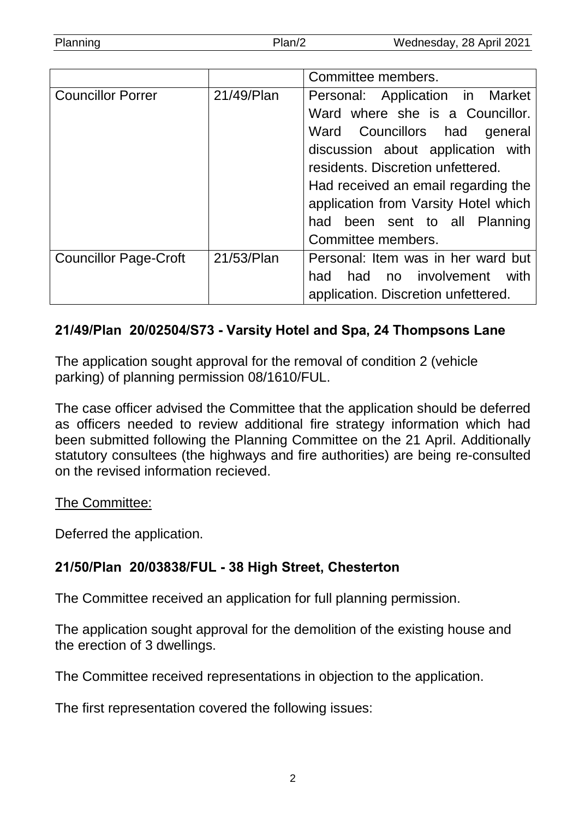| Planning | Plan/2 | Wednesday, 28 April 2021 |
|----------|--------|--------------------------|

|                              |            | Committee members.                   |  |
|------------------------------|------------|--------------------------------------|--|
| <b>Councillor Porrer</b>     | 21/49/Plan | Personal: Application in Market      |  |
|                              |            | Ward where she is a Councillor.      |  |
|                              |            | Ward Councillors had<br>general      |  |
|                              |            | discussion about application with    |  |
|                              |            | residents. Discretion unfettered.    |  |
|                              |            | Had received an email regarding the  |  |
|                              |            | application from Varsity Hotel which |  |
|                              |            | had been sent to all Planning        |  |
|                              |            | Committee members.                   |  |
| <b>Councillor Page-Croft</b> | 21/53/Plan | Personal: Item was in her ward but   |  |
|                              |            | had no involvement<br>with<br>had    |  |
|                              |            | application. Discretion unfettered.  |  |

#### **21/49/Plan 20/02504/S73 - Varsity Hotel and Spa, 24 Thompsons Lane**

The application sought approval for the removal of condition 2 (vehicle parking) of planning permission 08/1610/FUL.

The case officer advised the Committee that the application should be deferred as officers needed to review additional fire strategy information which had been submitted following the Planning Committee on the 21 April. Additionally statutory consultees (the highways and fire authorities) are being re-consulted on the revised information recieved.

#### The Committee:

Deferred the application.

## **21/50/Plan 20/03838/FUL - 38 High Street, Chesterton**

The Committee received an application for full planning permission.

The application sought approval for the demolition of the existing house and the erection of 3 dwellings.

The Committee received representations in objection to the application.

The first representation covered the following issues: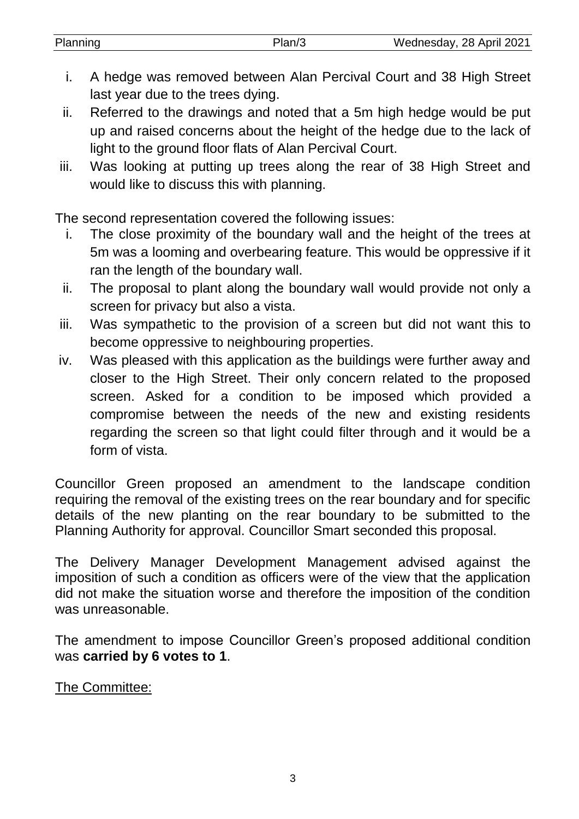| Planning | Plan/3 | Wednesday, 28 April 2021 |
|----------|--------|--------------------------|
|          |        |                          |

- i. A hedge was removed between Alan Percival Court and 38 High Street last year due to the trees dying.
- ii. Referred to the drawings and noted that a 5m high hedge would be put up and raised concerns about the height of the hedge due to the lack of light to the ground floor flats of Alan Percival Court.
- iii. Was looking at putting up trees along the rear of 38 High Street and would like to discuss this with planning.

The second representation covered the following issues:

- i. The close proximity of the boundary wall and the height of the trees at 5m was a looming and overbearing feature. This would be oppressive if it ran the length of the boundary wall.
- ii. The proposal to plant along the boundary wall would provide not only a screen for privacy but also a vista.
- iii. Was sympathetic to the provision of a screen but did not want this to become oppressive to neighbouring properties.
- iv. Was pleased with this application as the buildings were further away and closer to the High Street. Their only concern related to the proposed screen. Asked for a condition to be imposed which provided a compromise between the needs of the new and existing residents regarding the screen so that light could filter through and it would be a form of vista.

Councillor Green proposed an amendment to the landscape condition requiring the removal of the existing trees on the rear boundary and for specific details of the new planting on the rear boundary to be submitted to the Planning Authority for approval. Councillor Smart seconded this proposal.

The Delivery Manager Development Management advised against the imposition of such a condition as officers were of the view that the application did not make the situation worse and therefore the imposition of the condition was unreasonable.

The amendment to impose Councillor Green's proposed additional condition was **carried by 6 votes to 1**.

The Committee: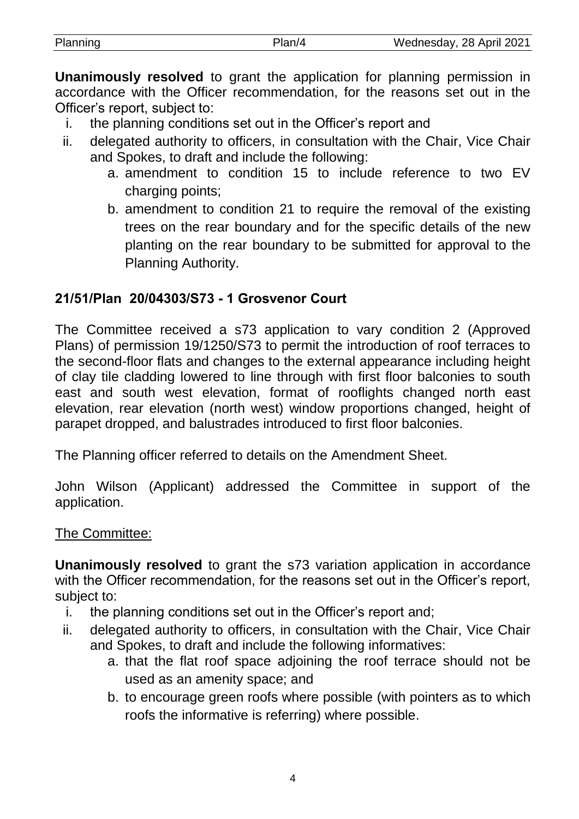| Planning | א חור | Wednesday, 28 April 2021 |
|----------|-------|--------------------------|
|          |       |                          |

**Unanimously resolved** to grant the application for planning permission in accordance with the Officer recommendation, for the reasons set out in the Officer's report, subject to:

- i. the planning conditions set out in the Officer's report and
- ii. delegated authority to officers, in consultation with the Chair, Vice Chair and Spokes, to draft and include the following:
	- a. amendment to condition 15 to include reference to two EV charging points:
	- b. amendment to condition 21 to require the removal of the existing trees on the rear boundary and for the specific details of the new planting on the rear boundary to be submitted for approval to the Planning Authority.

#### **21/51/Plan 20/04303/S73 - 1 Grosvenor Court**

The Committee received a s73 application to vary condition 2 (Approved Plans) of permission 19/1250/S73 to permit the introduction of roof terraces to the second-floor flats and changes to the external appearance including height of clay tile cladding lowered to line through with first floor balconies to south east and south west elevation, format of rooflights changed north east elevation, rear elevation (north west) window proportions changed, height of parapet dropped, and balustrades introduced to first floor balconies.

The Planning officer referred to details on the Amendment Sheet.

John Wilson (Applicant) addressed the Committee in support of the application.

#### The Committee:

**Unanimously resolved** to grant the s73 variation application in accordance with the Officer recommendation, for the reasons set out in the Officer's report, subject to:

- i. the planning conditions set out in the Officer's report and;
- ii. delegated authority to officers, in consultation with the Chair, Vice Chair and Spokes, to draft and include the following informatives:
	- a. that the flat roof space adjoining the roof terrace should not be used as an amenity space; and
	- b. to encourage green roofs where possible (with pointers as to which roofs the informative is referring) where possible.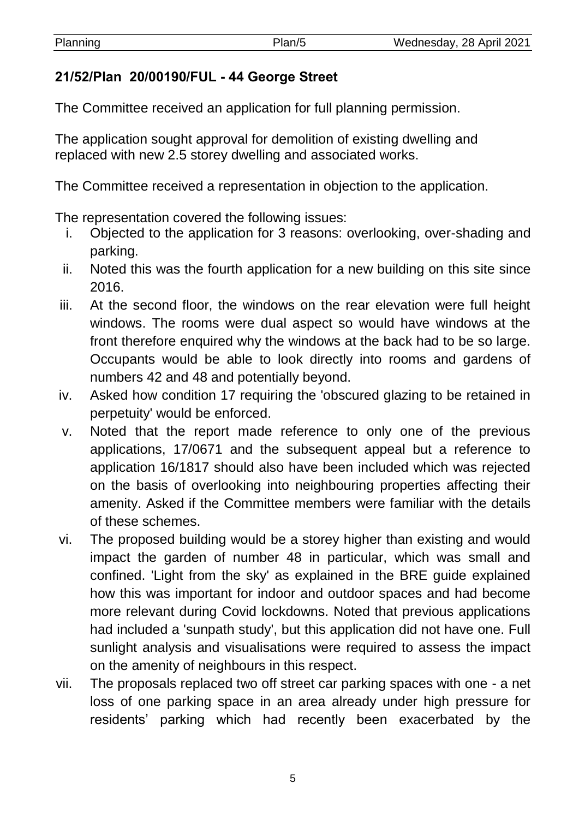# **21/52/Plan 20/00190/FUL - 44 George Street**

The Committee received an application for full planning permission.

The application sought approval for demolition of existing dwelling and replaced with new 2.5 storey dwelling and associated works.

The Committee received a representation in objection to the application.

The representation covered the following issues:

- i. Objected to the application for 3 reasons: overlooking, over-shading and parking.
- ii. Noted this was the fourth application for a new building on this site since 2016.
- iii. At the second floor, the windows on the rear elevation were full height windows. The rooms were dual aspect so would have windows at the front therefore enquired why the windows at the back had to be so large. Occupants would be able to look directly into rooms and gardens of numbers 42 and 48 and potentially beyond.
- iv. Asked how condition 17 requiring the 'obscured glazing to be retained in perpetuity' would be enforced.
- v. Noted that the report made reference to only one of the previous applications, 17/0671 and the subsequent appeal but a reference to application 16/1817 should also have been included which was rejected on the basis of overlooking into neighbouring properties affecting their amenity. Asked if the Committee members were familiar with the details of these schemes.
- vi. The proposed building would be a storey higher than existing and would impact the garden of number 48 in particular, which was small and confined. 'Light from the sky' as explained in the BRE guide explained how this was important for indoor and outdoor spaces and had become more relevant during Covid lockdowns. Noted that previous applications had included a 'sunpath study', but this application did not have one. Full sunlight analysis and visualisations were required to assess the impact on the amenity of neighbours in this respect.
- vii. The proposals replaced two off street car parking spaces with one a net loss of one parking space in an area already under high pressure for residents' parking which had recently been exacerbated by the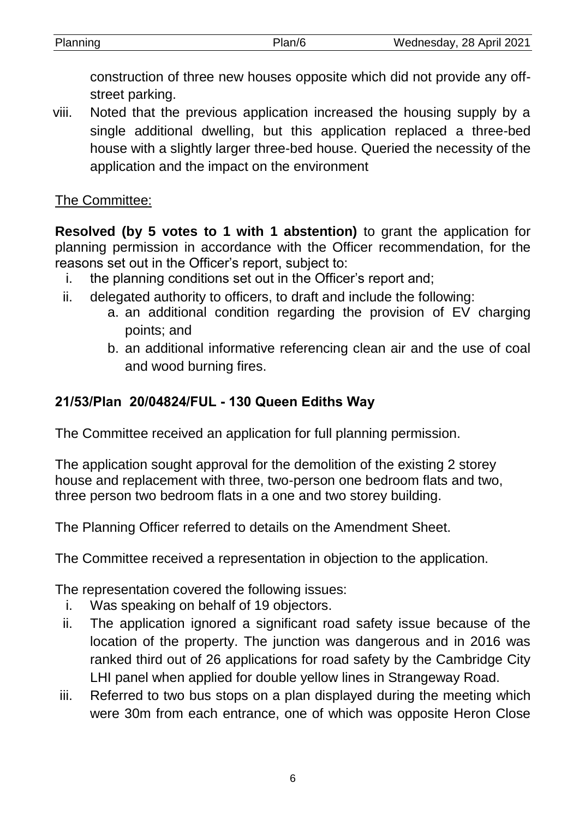| Planning | Plan/6 | Wednesday, 28 April 2021 |
|----------|--------|--------------------------|
|          |        |                          |

construction of three new houses opposite which did not provide any offstreet parking.

viii. Noted that the previous application increased the housing supply by a single additional dwelling, but this application replaced a three-bed house with a slightly larger three-bed house. Queried the necessity of the application and the impact on the environment

#### The Committee:

**Resolved (by 5 votes to 1 with 1 abstention)** to grant the application for planning permission in accordance with the Officer recommendation, for the reasons set out in the Officer's report, subject to:

- i. the planning conditions set out in the Officer's report and;
- ii. delegated authority to officers, to draft and include the following:
	- a. an additional condition regarding the provision of EV charging points; and
	- b. an additional informative referencing clean air and the use of coal and wood burning fires.

## **21/53/Plan 20/04824/FUL - 130 Queen Ediths Way**

The Committee received an application for full planning permission.

The application sought approval for the demolition of the existing 2 storey house and replacement with three, two-person one bedroom flats and two, three person two bedroom flats in a one and two storey building.

The Planning Officer referred to details on the Amendment Sheet.

The Committee received a representation in objection to the application.

The representation covered the following issues:

- i. Was speaking on behalf of 19 objectors.
- ii. The application ignored a significant road safety issue because of the location of the property. The junction was dangerous and in 2016 was ranked third out of 26 applications for road safety by the Cambridge City LHI panel when applied for double yellow lines in Strangeway Road.
- iii. Referred to two bus stops on a plan displayed during the meeting which were 30m from each entrance, one of which was opposite Heron Close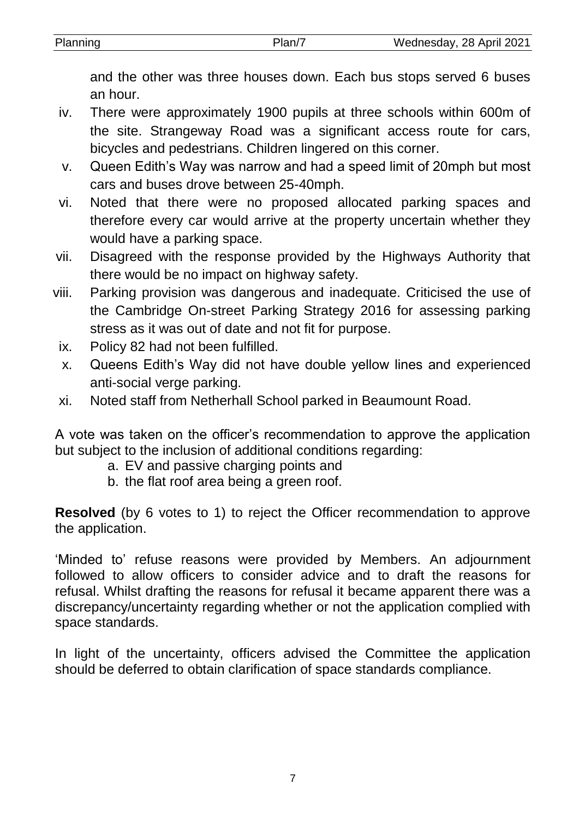| Planning | 'lan/ | Wednesday, 28 April 2021 |
|----------|-------|--------------------------|
|          |       |                          |

and the other was three houses down. Each bus stops served 6 buses an hour.

- iv. There were approximately 1900 pupils at three schools within 600m of the site. Strangeway Road was a significant access route for cars, bicycles and pedestrians. Children lingered on this corner.
- v. Queen Edith's Way was narrow and had a speed limit of 20mph but most cars and buses drove between 25-40mph.
- vi. Noted that there were no proposed allocated parking spaces and therefore every car would arrive at the property uncertain whether they would have a parking space.
- vii. Disagreed with the response provided by the Highways Authority that there would be no impact on highway safety.
- viii. Parking provision was dangerous and inadequate. Criticised the use of the Cambridge On-street Parking Strategy 2016 for assessing parking stress as it was out of date and not fit for purpose.
	- ix. Policy 82 had not been fulfilled.
	- x. Queens Edith's Way did not have double yellow lines and experienced anti-social verge parking.
	- xi. Noted staff from Netherhall School parked in Beaumount Road.

A vote was taken on the officer's recommendation to approve the application but subject to the inclusion of additional conditions regarding:

- a. EV and passive charging points and
- b. the flat roof area being a green roof.

**Resolved** (by 6 votes to 1) to reject the Officer recommendation to approve the application.

'Minded to' refuse reasons were provided by Members. An adjournment followed to allow officers to consider advice and to draft the reasons for refusal. Whilst drafting the reasons for refusal it became apparent there was a discrepancy/uncertainty regarding whether or not the application complied with space standards.

In light of the uncertainty, officers advised the Committee the application should be deferred to obtain clarification of space standards compliance.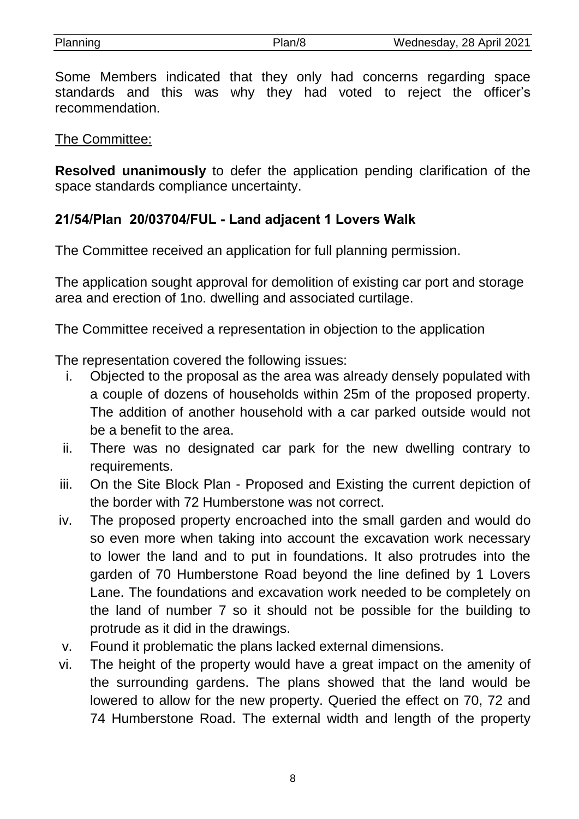Some Members indicated that they only had concerns regarding space standards and this was why they had voted to reject the officer's recommendation.

#### The Committee:

**Resolved unanimously** to defer the application pending clarification of the space standards compliance uncertainty.

## **21/54/Plan 20/03704/FUL - Land adjacent 1 Lovers Walk**

The Committee received an application for full planning permission.

The application sought approval for demolition of existing car port and storage area and erection of 1no. dwelling and associated curtilage.

The Committee received a representation in objection to the application

The representation covered the following issues:

- i. Objected to the proposal as the area was already densely populated with a couple of dozens of households within 25m of the proposed property. The addition of another household with a car parked outside would not be a benefit to the area.
- ii. There was no designated car park for the new dwelling contrary to requirements.
- iii. On the Site Block Plan Proposed and Existing the current depiction of the border with 72 Humberstone was not correct.
- iv. The proposed property encroached into the small garden and would do so even more when taking into account the excavation work necessary to lower the land and to put in foundations. It also protrudes into the garden of 70 Humberstone Road beyond the line defined by 1 Lovers Lane. The foundations and excavation work needed to be completely on the land of number 7 so it should not be possible for the building to protrude as it did in the drawings.
- v. Found it problematic the plans lacked external dimensions.
- vi. The height of the property would have a great impact on the amenity of the surrounding gardens. The plans showed that the land would be lowered to allow for the new property. Queried the effect on 70, 72 and 74 Humberstone Road. The external width and length of the property